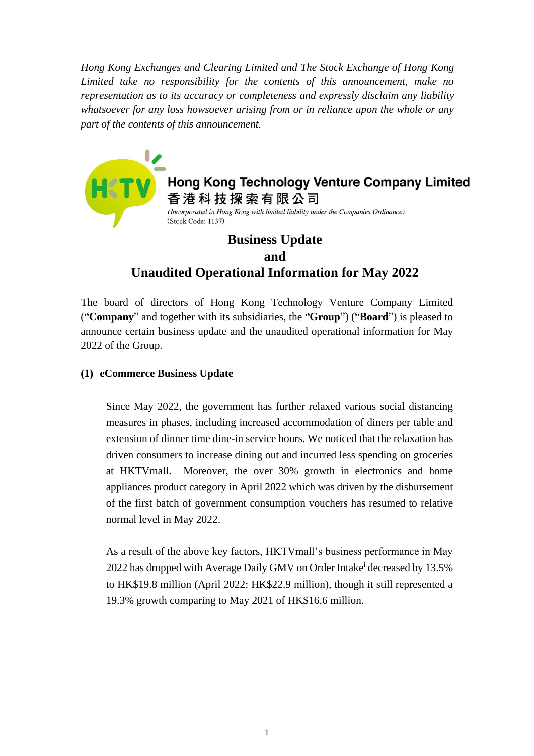*Hong Kong Exchanges and Clearing Limited and The Stock Exchange of Hong Kong Limited take no responsibility for the contents of this announcement, make no representation as to its accuracy or completeness and expressly disclaim any liability whatsoever for any loss howsoever arising from or in reliance upon the whole or any part of the contents of this announcement.*



**Hong Kong Technology Venture Company Limited** 香港科技探索有限公司 (Incorporated in Hong Kong with limited liability under the Companies Ordinance) (Stock Code: 1137)

## **Business Update and Unaudited Operational Information for May 2022**

The board of directors of Hong Kong Technology Venture Company Limited ("**Company**" and together with its subsidiaries, the "**Group**") ("**Board**") is pleased to announce certain business update and the unaudited operational information for May 2022 of the Group.

## **(1) eCommerce Business Update**

Since May 2022, the government has further relaxed various social distancing measures in phases, including increased accommodation of diners per table and extension of dinner time dine-in service hours. We noticed that the relaxation has driven consumers to increase dining out and incurred less spending on groceries at HKTVmall. Moreover, the over 30% growth in electronics and home appliances product category in April 2022 which was driven by the disbursement of the first batch of government consumption vouchers has resumed to relative normal level in May 2022.

As a result of the above key factors, HKTVmall's business performance in May 2022 has dropped with Average Daily GMV on Order Intake<sup>i</sup> decreased by 13.5% to HK\$19.8 million (April 2022: HK\$22.9 million), though it still represented a 19.3% growth comparing to May 2021 of HK\$16.6 million.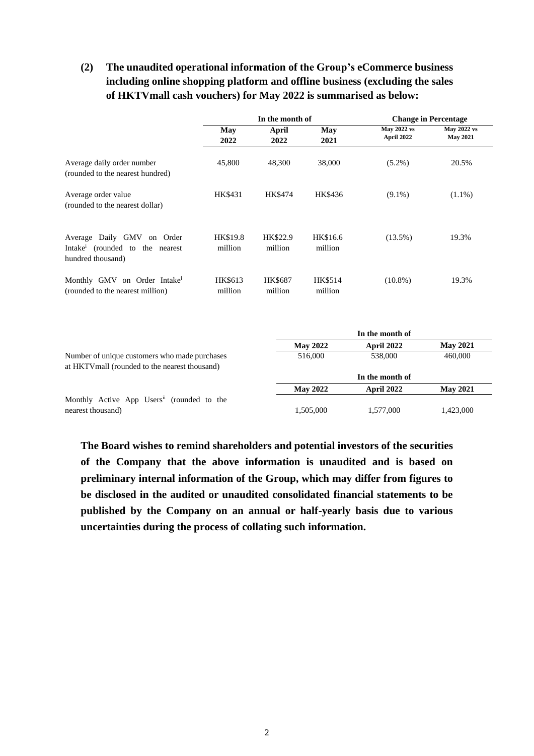## **(2) The unaudited operational information of the Group's eCommerce business including online shopping platform and offline business (excluding the sales of HKTVmall cash vouchers) for May 2022 is summarised as below:**

|                                                                                                | In the month of     |                           |                     | <b>Change in Percentage</b>                                |                                       |
|------------------------------------------------------------------------------------------------|---------------------|---------------------------|---------------------|------------------------------------------------------------|---------------------------------------|
|                                                                                                | May<br>2022         | April<br>2022             | May<br>2021         | <b>May 2022 vs</b><br>April 2022                           | <b>May 2022 vs</b><br><b>May 2021</b> |
| Average daily order number<br>(rounded to the nearest hundred)                                 | 45,800              | 48,300                    | 38,000              | $(5.2\%)$                                                  | 20.5%                                 |
| Average order value<br>(rounded to the nearest dollar)                                         | HK\$431             | HK\$474                   | HK\$436             | $(9.1\%)$                                                  | $(1.1\%)$                             |
| Average Daily GMV on Order<br>Intake <sup>i</sup> (rounded to the nearest<br>hundred thousand) | HK\$19.8<br>million | HK\$22.9<br>million       | HK\$16.6<br>million | $(13.5\%)$                                                 | 19.3%                                 |
| Monthly GMV on Order Intake <sup>i</sup><br>(rounded to the nearest million)                   | HK\$613<br>million  | <b>HK\$687</b><br>million | HK\$514<br>million  | $(10.8\%)$                                                 | 19.3%                                 |
|                                                                                                |                     |                           |                     | $T_{\text{max}}$ and $T_{\text{max}}$ and $T_{\text{max}}$ |                                       |

|                                                                                                 |                 | 'n the month of |                 |
|-------------------------------------------------------------------------------------------------|-----------------|-----------------|-----------------|
|                                                                                                 | <b>May 2022</b> | April 2022      | <b>May 2021</b> |
| Number of unique customers who made purchases<br>at HKTV mall (rounded to the nearest thousand) | 516,000         | 538,000         | 460,000         |
|                                                                                                 |                 | In the month of |                 |
|                                                                                                 | <b>May 2022</b> | April 2022      | <b>May 2021</b> |
| Monthly Active App Users <sup>ii</sup> (rounded to the                                          |                 |                 |                 |
| nearest thousand)                                                                               | 1,505,000       | 1,577,000       | 1,423,000       |

**The Board wishes to remind shareholders and potential investors of the securities of the Company that the above information is unaudited and is based on preliminary internal information of the Group, which may differ from figures to be disclosed in the audited or unaudited consolidated financial statements to be published by the Company on an annual or half-yearly basis due to various uncertainties during the process of collating such information.**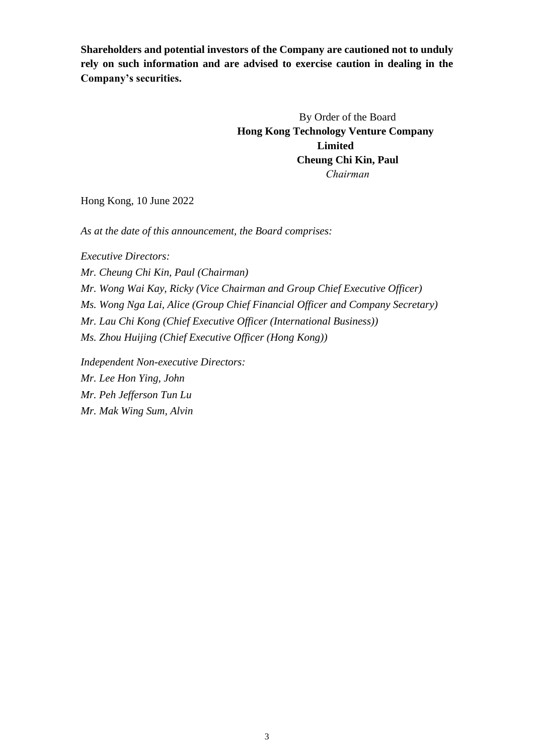**Shareholders and potential investors of the Company are cautioned not to unduly rely on such information and are advised to exercise caution in dealing in the Company's securities.**

> By Order of the Board **Hong Kong Technology Venture Company Limited Cheung Chi Kin, Paul** *Chairman*

Hong Kong, 10 June 2022

*As at the date of this announcement, the Board comprises:*

*Executive Directors: Mr. Cheung Chi Kin, Paul (Chairman) Mr. Wong Wai Kay, Ricky (Vice Chairman and Group Chief Executive Officer) Ms. Wong Nga Lai, Alice (Group Chief Financial Officer and Company Secretary) Mr. Lau Chi Kong (Chief Executive Officer (International Business)) Ms. Zhou Huijing (Chief Executive Officer (Hong Kong))*

*Independent Non-executive Directors: Mr. Lee Hon Ying, John Mr. Peh Jefferson Tun Lu Mr. Mak Wing Sum, Alvin*